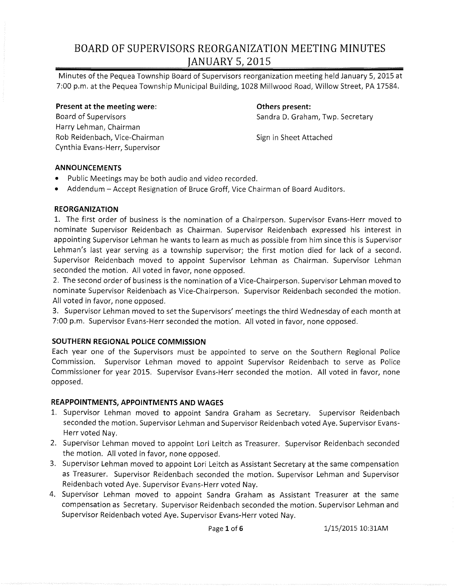Minutes of the Pequea Township Board of Supervisors reorganization meeting held January 5,2015 at 7:00 p.m. at the Pequea Township Municipal Building, 1028 Millwood Road, Willow Street, PA 17584.

**Present at the meeting were:**  Board of Supervisors Harry Lehman, Chairman Rob Reidenbach, Vice-Chairman Cynthia Evans-Herr, Supervisor

**Others present:**  Sandra D. Graham, Twp. Secretary

Sign in Sheet Attached

### **ANNOUNCEMENTS**

- Public Meetings may be both audio and video recorded.
- Addendum Accept Resignation of Bruce Groff, Vice Chairman of Board Auditors.

### **REORGANIZATION**

1. The first order of business is the nomination of a Chairperson. Supervisor Evans-Herr moved to nominate Supervisor Reidenbach as Chairman. Supervisor Reidenbach expressed his interest in appointing Supervisor Lehman he wants to learn as much as possible from him since this is Supervisor Lehman's last year serving as a township supervisor; the first motion died for lack of a second. Supervisor Reidenbach moved to appoint Supervisor Lehman as Chairman. Supervisor Lehman seconded the motion. All voted in favor, none opposed.

2. The second order of business is the nomination of a Vice-Chairperson. Supervisor Lehman moved to nominate Supervisor Reidenbach as Vice-Chairperson. Supervisor Reidenbach seconded the motion. All voted in favor, none opposed.

3. Supervisor Lehman moved to set the Supervisors' meetings the third Wednesday of each month at 7:00 p.m. Supervisor Evans-Herr seconded the motion. All voted in favor, none opposed.

### **SOUTHERN REGIONAL POLICE COMMISSION**

Each year one of the Supervisors must be appointed to serve on the Southern Regional Police Commission. Supervisor Lehman moved to appoint Supervisor Reidenbach to serve as Police Commissioner for year 2015. Supervisor Evans-Herr seconded the motion. All voted in favor, none opposed.

### **REAPPOINTMENTS, APPOINTMENTS AND WAGES**

- 1. Supervisor Lehman moved to appoint Sandra Graham as Secretary. Supervisor Reidenbach seconded the motion. Supervisor Lehman and Supervisor Reidenbach voted Aye. Supervisor Evans-Herr voted Nay.
- 2. Supervisor Lehman moved to appoint Lori Leitch as Treasurer. Supervisor Reidenbach seconded the motion. All voted in favor, none opposed.
- 3. Supervisor Lehman moved to appoint Lori Leitch as Assistant Secretary at the same compensation as Treasurer. Supervisor Reidenbach seconded the motion. Supervisor Lehman and Supervisor Reidenbach voted Aye. Supervisor Evans-Herr voted Nay.
- 4. Supervisor Lehman moved to appoint Sandra Graham as Assistant Treasurer at the same compensation as Secretary. Supervisor Reidenbach seconded the motion. Supervisor Lehman and Supervisor Reidenbach voted Aye. Supervisor Evans-Herr voted Nay.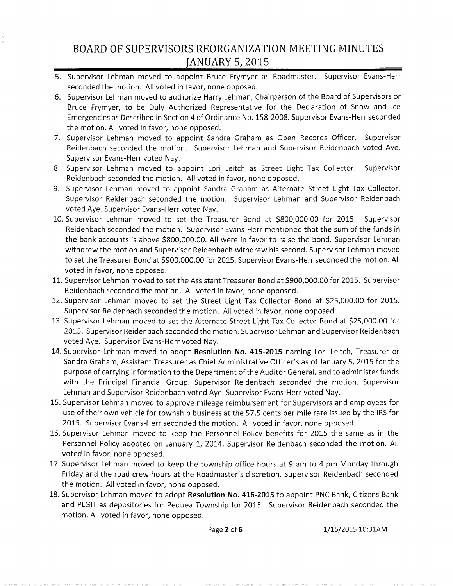- 5. Supervisor Lehman moved to appoint Bruce Frymyer as Roadmaster. Supervisor Evans-Herr seconded the motion. All voted in favor, none opposed.
- 6. Supervisor Lehman moved to authorize Harry Lehman, Chairperson of the Board of Supervisors or Bruce Frymyer, to be Duly Authorized Representative for the Declaration of Snow and Ice Emergencies as Described in Section 4 of Ordinance No. 158-2008. Supervisor Evans-Herr seconded the motion. All voted in favor, none opposed.
- 7. Supervisor Lehman moved to appoint Sandra Graham as Open Records Officer. Supervisor Reidenbach seconded the motion. Supervisor Lehman and Supervisor Reidenbach voted Aye. Supervisor Evans-Herr voted Nay.
- 8. Supervisor Lehman moved to appoint Lori Leitch as Street Light Tax Collector. Supervisor Reidenbach seconded the motion. All voted in favor, none opposed.
- 9. Supervisor Lehman moved to appoint Sandra Graham as Alternate Street Light Tax Collector. Supervisor Reidenbach seconded the motion. Supervisor Lehman and Supervisor Reidenbach voted Aye. Supervisor Evans-Herr voted Nay.
- 10. Supervisor Lehman moved to set the Treasurer Bond at \$800,000.00 for 2015. Supervisor Reidenbach seconded the motion. Supervisor Evans-Herr mentioned that the sum of the funds in the bank accounts is above \$800,000.00. All were in favor to raise the bond. Supervisor Lehman withdrew the motion and Supervisor Reidenbach withdrew his second. Supervisor Lehman moved to set the Treasurer Bond at \$900,000.00 for 2015. Supervisor Evans-Herr seconded the motion. All voted in favor, none opposed.
- 11. Supervisor Lehman moved to set the Assistant Treasurer Bond at \$900,000.00 for 2015. Supervisor Reidenbach seconded the motion. All voted in favor, none opposed.
- 12. Supervisor Lehman moved to set the Street Light Tax Collector Bond at \$25,000.00 for 2015. Supervisor Reidenbach seconded the motion. All voted in favor, none opposed.
- 13. Supervisor Lehman moved to set the Alternate Street Light Tax Collector Bond at \$25,000.00 for 2015. Supervisor Reidenbach seconded the motion. Supervisor Lehman and Supervisor Reidenbach voted Aye. Supervisor Evans-Herr voted Nay.
- 14. Supervisor Lehman moved to adopt **Resolution No. 415-2015** naming Lori Leitch, Treasurer or Sandra Graham, Assistant Treasurer as Chief Administrative Officer's as of January 5,2015 for the purpose of carrying information to the Department ofthe Auditor General, and to administer funds with the Principal Financial Group. Supervisor Reidenbach seconded the motion. Supervisor Lehman and Supervisor Reidenbach voted Aye. Supervisor Evans-Herr voted Nay.
- 15. Supervisor Lehman moved to approve mileage reimbursement for Supervisors and employees for use of their own vehicle for township business at the 57.5 cents per mile rate issued by the IRS for 2015. Supervisor Evans-Herr seconded the motion. All voted in favor, none opposed.
- 16. Supervisor Lehman moved to keep the Personnel Policy benefits for 2015 the same as in the Personnel Policy adopted on January 1, 2014. Supervisor Reidenbach seconded the motion. All voted in favor, none opposed.
- 17. Supervisor Lehman moved to keep the township office hours at 9 am to 4 pm Monday through Friday and the road crew hours at the Roadmaster's discretion. Supervisor Reidenbach seconded the motion. All voted in favor, none opposed.
- 18. Supervisor Lehman moved to adopt **Resolution No. 416-2015** to appoint PNC Bank, Citizens Bank and PLGIT as depositories for Pequea Township for 2015. Supervisor Reidenbach seconded the motion. All voted in favor, none opposed.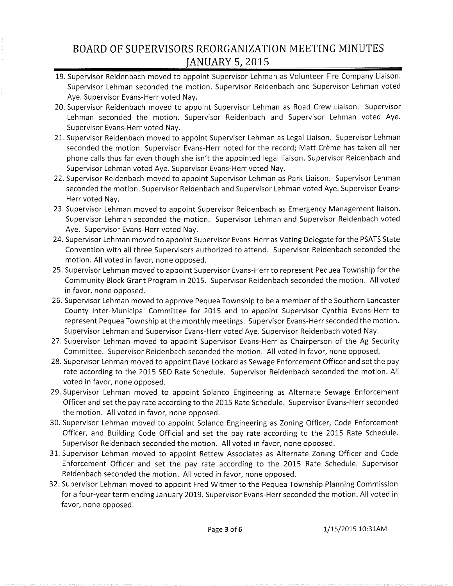- 19. Supervisor Reidenbach moved to appoint Supervisor Lehman as Volunteer Fire Company Liaison. Supervisor Lehman seconded the motion. Supervisor Reidenbach and Supervisor Lehman voted Aye. Supervisor Evans-Herr voted Nay.
- 20. Supervisor Reidenbach moved to appoint Supervisor Lehman as Road Crew Liaison. Supervisor Lehman seconded the motion. Supervisor Reidenbach and Supervisor Lehman voted Aye. Supervisor Evans-Herr voted Nay.
- 21. Supervisor Reidenbach moved to appoint Supervisor Lehman as Legal Liaison. Supervisor Lehman seconded the motion. Supervisor Evans-Herr noted for the record; Matt Crème has taken all her phone calls thus far even though she isn't the appointed legal liaison. Supervisor Reidenbach and Supervisor Lehman voted Aye. Supervisor Evans-Herr voted Nay.
- 22. Supervisor Reidenbach moved to appoint Supervisor Lehman as Park Liaison. Supervisor Lehman seconded the motion. Supervisor Reidenbach and Supervisor Lehman voted Aye. Supervisor Evans-Herr voted Nay.
- 23. Supervisor Lehman moved to appoint Supervisor Reidenbach as Emergency Management liaison. Supervisor Lehman seconded the motion. Supervisor Lehman and Supervisor Reidenbach voted Aye. Supervisor Evans-Herr voted Nay.
- 24. Supervisor Lehman moved to appoint Supervisor Evans-Herr as Voting Delegate for the PSATS State Convention with all three Supervisors authorized to attend. Supervisor Reidenbach seconded the motion. All voted in favor, none opposed.
- 25. Supervisor Lehman moved to appoint Supervisor Evans-Herr to represent Pequea Township for the Community Block Grant Program in 2015. Supervisor Reidenbach seconded the motion. All voted in favor, none opposed.
- 26. Supervisor Lehman moved to approve Pequea Township to be a member ofthe Southern Lancaster County Inter-Municipal Committee for 2015 and to appoint Supervisor Cynthia Evans-Herr to represent Pequea Township at the monthly meetings. Supervisor Evans-Herr seconded the motion. Supervisor Lehman and Supervisor Evans-Herr voted Aye. Supervisor Reidenbach voted Nay.
- 27. Supervisor Lehman moved to appoint Supervisor Evans-Herr as Chairperson of the Ag Security Committee. Supervisor Reidenbach seconded the motion. All voted in favor, none opposed.
- 28. Supervisor Lehman moved to appoint Dave Lockard as Sewage Enforcement Officer and set the pay rate according to the 2015 SEO Rate Schedule. Supervisor Reidenbach seconded the motion. All voted in favor, none opposed.
- 29. Supervisor Lehman moved to appoint Solanco Engineering as Alternate Sewage Enforcement Officer and set the pay rate according to the 2015 Rate Schedule. Supervisor Evans-Herr seconded the motion. All voted in favor, none opposed.
- 30. Supervisor Lehman moved to appoint Solanco Engineering as Zoning Officer, Code Enforcement Officer, and Building Code Official and set the pay rate according to the 2015 Rate Schedule. Supervisor Reidenbach seconded the motion. All voted in favor, none opposed.
- 31. Supervisor Lehman moved to appoint Rettew Associates as Alternate Zoning Officer and Code Enforcement Officer and set the pay rate according to the 2015 Rate Schedule. Supervisor Reidenbach seconded the motion. All voted in favor, none opposed.
- 32. Supervisor Lehman moved to appoint Fred Witmer to the Pequea Township Planning Commission for a four-year term ending January 2019. Supervisor Evans-Herr seconded the motion. All voted in favor, none opposed.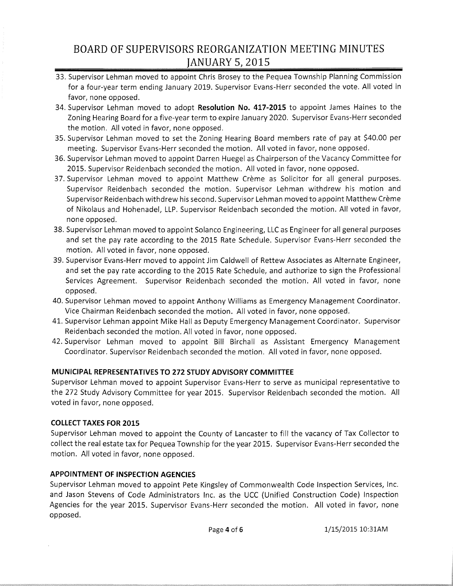- 33. Supervisor Lehman moved to appoint Chris Brosey to the Pequea Township Planning Commission for a four-year term ending January 2019. Supervisor Evans-Herr seconded the vote. All voted in favor, none opposed.
- 34. Supervisor Lehman moved to adopt **Resolution No. 417-2015** to appoint James Haines to the Zoning Hearing Board for a five-year term to expire January 2020. Supervisor Evans-Herr seconded the motion. All voted in favor, none opposed.
- 35. Supervisor Lehman moved to set the Zoning Hearing Board members rate of pay at \$40.00 per meeting. Supervisor Evans-Herr seconded the motion. All voted in favor, none opposed.
- 36. Supervisor Lehman moved to appoint Darren Huegel as Chairperson of the Vacancy Committee for 2015. Supervisor Reidenbach seconded the motion. All voted in favor, none opposed.
- 37. Supervisor Lehman moved to appoint Matthew Crème as Solicitor for all general purposes. Supervisor Reidenbach seconded the motion. Supervisor Lehman withdrew his motion and Supervisor Reidenbach withdrew his second. Supervisor Lehman moved to appoint Matthew Crème of Nikolaus and Hohenadel, LLP. Supervisor Reidenbach seconded the motion. All voted in favor, none opposed.
- 38. Supervisor Lehman moved to appoint Solanco Engineering, LLC as Engineer for all general purposes and set the pay rate according to the 2015 Rate Schedule. Supervisor Evans-Herr seconded the motion. All voted in favor, none opposed.
- 39. Supervisor Evans-Herr moved to appoint Jim Caldwell of Rettew Associates as Alternate Engineer, and set the pay rate according to the 2015 Rate Schedule, and authorize to sign the Professional Services Agreement. Supervisor Reidenbach seconded the motion. All voted in favor, none opposed.
- 40. Supervisor Lehman moved to appoint Anthony Williams as Emergency Management Coordinator. Vice Chairman Reidenbach seconded the motion. All voted in favor, none opposed.
- 41. Supervisor Lehman appoint Mike Hall as Deputy Emergency Management Coordinator. Supervisor Reidenbach seconded the motion. All voted in favor, none opposed.
- 42. Supervisor Lehman moved to appoint Bill Birchall as Assistant Emergency Management Coordinator. Supervisor Reidenbach seconded the motion. All voted in favor, none opposed.

### **MUNICIPAL REPRESENTATIVES TO 272 STUDY ADVISORY COMMITTEE**

Supervisor Lehman moved to appoint Supervisor Evans-Herr to serve as municipal representative to the 272 Study Advisory Committee for year 2015. Supervisor Reidenbach seconded the motion. All voted in favor, none opposed.

### **COLLECT TAXES FOR 2015**

Supervisor Lehman moved to appoint the County of Lancaster to fill the vacancy of Tax Collector to collect the real estate tax for Pequea Township for the year 2015. Supervisor Evans-Herr seconded the motion. All voted in favor, none opposed.

### **APPOINTMENT OF INSPECTION AGENCIES**

Supervisor Lehman moved to appoint Pete Kingsley of Commonwealth Code Inspection Services, Inc. and Jason Stevens of Code Administrators Inc. as the UCC (Unified Construction Code) Inspection Agencies for the year 2015. Supervisor Evans-Herr seconded the motion. All voted in favor, none opposed.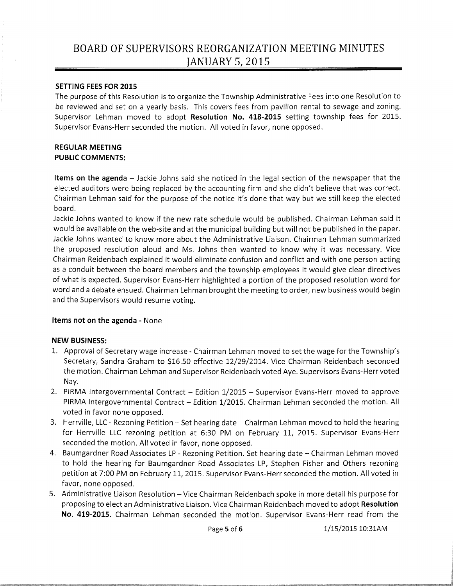#### SETTING FEES FOR 2015

The purpose of this Resolution is to organize the Township Administrative Fees into one Resolution to be reviewed and set on a yearly basis. This covers fees from pavilion rental to sewage and zoning. Supervisor Lehman moved to adopt Resolution No. 418-2015 setting township fees for 2015. Supervisor Evans-Herr seconded the motion. All voted in favor, none opposed.

#### REGULAR MEETING PUBLIC COMMENTS:

Items on the agenda - Jackie Johns said she noticed in the legal section of the newspaper that the elected auditors were being replaced by the accounting firm and she didn't believe that was correct. Chairman Lehman said for the purpose of the notice it's done that way but we still keep the elected board.

Jackie Johns wanted to know if the new rate schedule would be published. Chairman Lehman said it would be available on the web-site and at the municipal building but will not be published in the paper. Jackie Johns wanted to know more about the Administrative Liaison. Chairman Lehman summarized the proposed resolution aloud and Ms. Johns then wanted to know why it was necessary. Vice Chairman Reidenbach explained it would eliminate confusion and conflict and with one person acting as a conduit between the board members and the township employees it would give clear directives of what is expected. Supervisor Evans-Herr highlighted a portion of the proposed resolution word for word and a debate ensued. Chairman Lehman brought the meeting to order, new business would begin and the Supervisors would resume voting.

### Items not on the agenda - None

#### NEW BUSINESS:

- 1. Approval of Secretary wage increase Chairman Lehman moved to set the wage for the Township's Secretary, Sandra Graham to \$16.50 effective 12/29/2014. Vice Chairman Reidenbach seconded the motion. Chairman Lehman and Supervisor Reidenbach voted Aye. Supervisors Evans-Herr voted Nay.
- 2. PIRMA Intergovernmental Contract Edition 1/2015 Supervisor Evans-Herr moved to approve PIRMA Intergovernmental Contract - Edition 1/2015. Chairman Lehman seconded the motion. All voted in favor none opposed.
- 3. Herrville, LLC Rezoning Petition Set hearing date Chairman Lehman moved to hold the hearing for Herrville LLC rezoning petition at 6:30 PM on February 11, 2015. Supervisor Evans-Herr seconded the motion. All voted in favor, none opposed.
- 4. Baumgardner Road Associates LP Rezoning Petition. Set hearing date Chairman Lehman moved to hold the hearing for Baumgardner Road Associates LP, Stephen Fisher and Others rezoning petition at 7:00 PM on February 11,2015. Supervisor Evans-Herr seconded the motion. All voted in favor, none opposed.
- 5. Administrative Liaison Resolution Vice Chairman Reidenbach spoke in more detail his purpose for proposing to elect an Administrative Liaison. Vice Chairman Reidenbach moved to adopt Resolution No. 419-2015. Chairman Lehman seconded the motion. Supervisor Evans-Herr read from the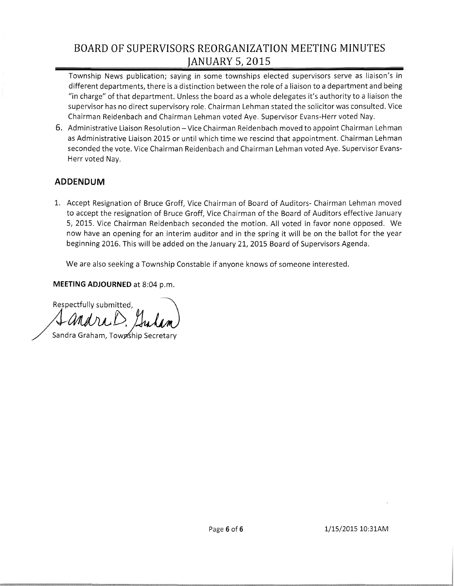Township News publication; saying in some townships elected supervisors serve as liaison's in different departments, there is a distinction between the role of a liaison to a department and being "in charge" ofthat department. Unless the board as a whole delegates it's authority to a liaison the supervisor has no direct supervisory role. Chairman Lehman stated the solicitor was consulted. Vice Chairman Reidenbach and Chairman Lehman voted Aye. Supervisor Evans-Herr voted Nay.

6. Administrative Liaison Resolution - Vice Chairman Reidenbach moved to appoint Chairman Lehman as Administrative Liaison 2015 or until which time we rescind that appointment. Chairman Lehman seconded the vote. Vice Chairman Reidenbach and Chairman Lehman voted Aye. Supervisor Evans-Herr voted Nay.

## **ADDENDUM**

1. Accept Resignation of Bruce Groff, Vice Chairman of Board of Auditors- Chairman Lehman moved to accept the resignation of Bruce Groff, Vice Chairman of the Board of Auditors effective January 5, 2015. Vice Chairman Reidenbach seconded the motion. All voted in favor none opposed. We now have an opening for an interim auditor and in the spring it will be on the ballot for the year beginning 2016. This will be added on the January 21, 2015 Board of Supervisors Agenda.

We are also seeking a Township Constable if anyone knows of someone interested.

**MEETING ADJOURNED** at 8:04 p.m.

Respectfully submitted, (*) and rull*, Jul<br>Sandra Graham, Township Secr